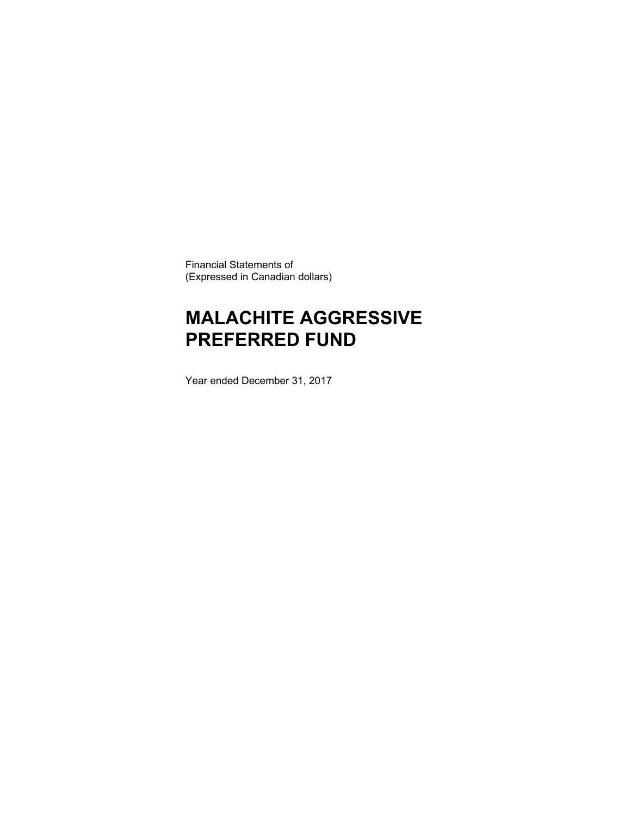Financial Statements of (Expressed in Canadian dollars)

# **MALACHITE AGGRESSIVE PREFERRED FUND**

Year ended December 31, 2017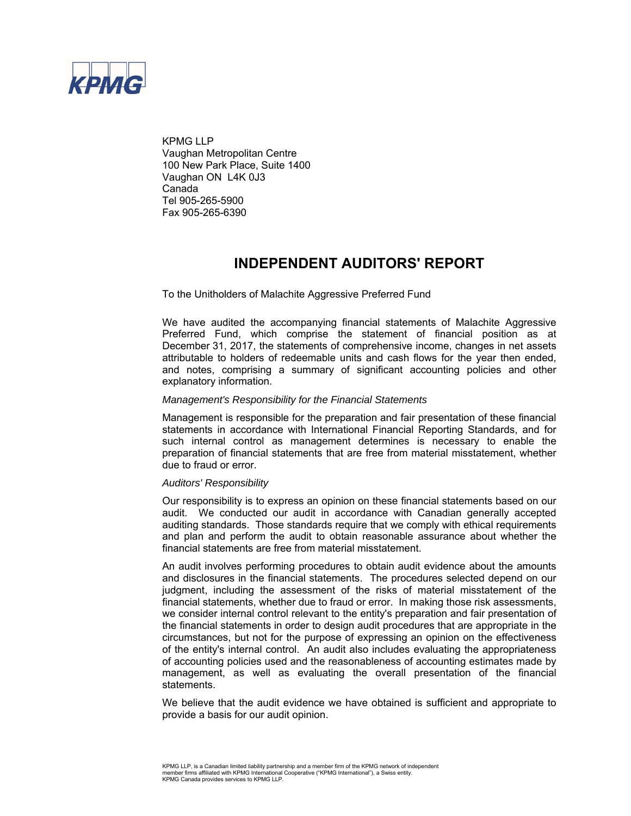

KPMG LLP Vaughan Metropolitan Centre 100 New Park Place, Suite 1400 Vaughan ON L4K 0J3 Canada Tel 905-265-5900 Fax 905-265-6390

### **INDEPENDENT AUDITORS' REPORT**

To the Unitholders of Malachite Aggressive Preferred Fund

We have audited the accompanying financial statements of Malachite Aggressive Preferred Fund, which comprise the statement of financial position as at December 31, 2017, the statements of comprehensive income, changes in net assets attributable to holders of redeemable units and cash flows for the year then ended, and notes, comprising a summary of significant accounting policies and other explanatory information.

#### *Management's Responsibility for the Financial Statements*

Management is responsible for the preparation and fair presentation of these financial statements in accordance with International Financial Reporting Standards, and for such internal control as management determines is necessary to enable the preparation of financial statements that are free from material misstatement, whether due to fraud or error.

#### *Auditors' Responsibility*

Our responsibility is to express an opinion on these financial statements based on our audit. We conducted our audit in accordance with Canadian generally accepted auditing standards. Those standards require that we comply with ethical requirements and plan and perform the audit to obtain reasonable assurance about whether the financial statements are free from material misstatement.

An audit involves performing procedures to obtain audit evidence about the amounts and disclosures in the financial statements. The procedures selected depend on our judgment, including the assessment of the risks of material misstatement of the financial statements, whether due to fraud or error. In making those risk assessments, we consider internal control relevant to the entity's preparation and fair presentation of the financial statements in order to design audit procedures that are appropriate in the circumstances, but not for the purpose of expressing an opinion on the effectiveness of the entity's internal control. An audit also includes evaluating the appropriateness of accounting policies used and the reasonableness of accounting estimates made by management, as well as evaluating the overall presentation of the financial statements.

We believe that the audit evidence we have obtained is sufficient and appropriate to provide a basis for our audit opinion.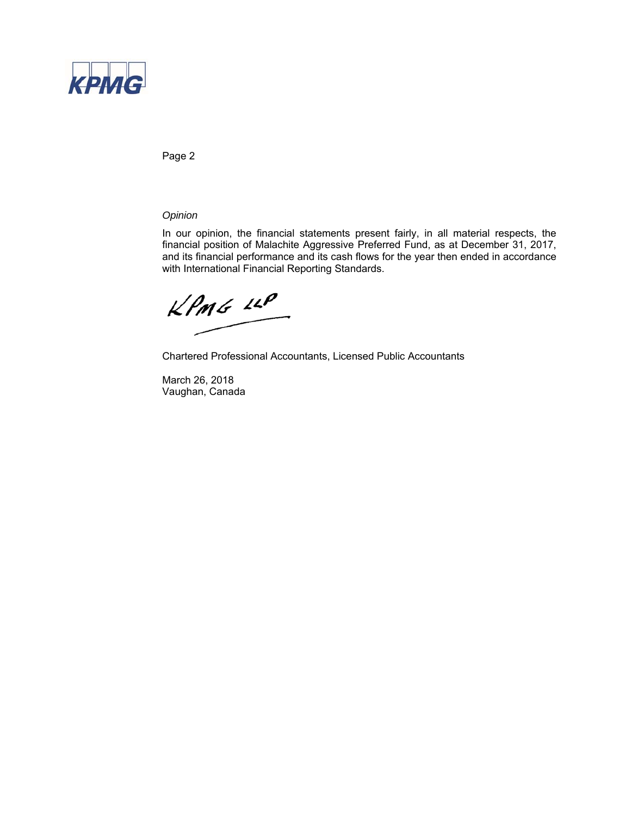

Page 2

### *Opinion*

In our opinion, the financial statements present fairly, in all material respects, the financial position of Malachite Aggressive Preferred Fund, as at December 31, 2017, and its financial performance and its cash flows for the year then ended in accordance with International Financial Reporting Standards.

 $kPm6$  12P

Chartered Professional Accountants, Licensed Public Accountants

March 26, 2018 Vaughan, Canada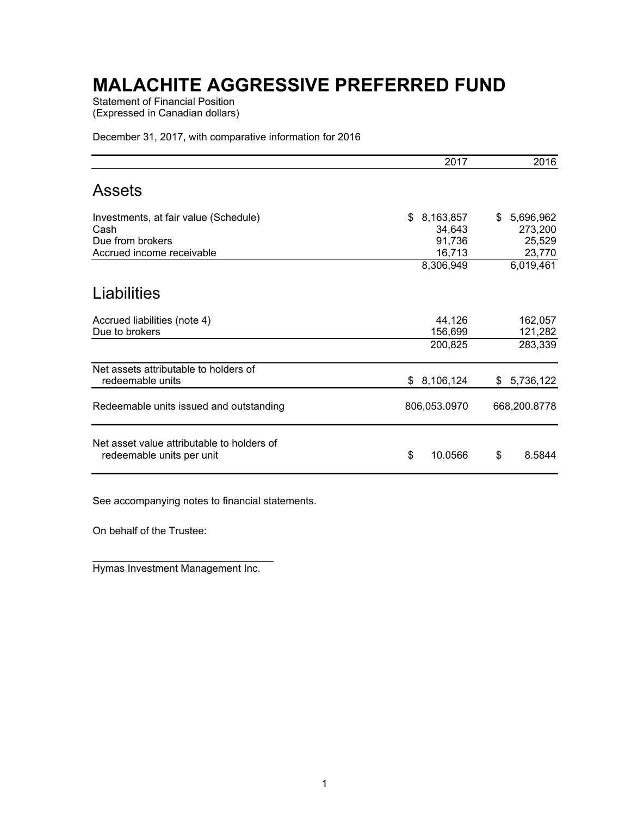Statement of Financial Position (Expressed in Canadian dollars)

December 31, 2017, with comparative information for 2016

|                                                                         | 2017             | 2016              |
|-------------------------------------------------------------------------|------------------|-------------------|
| <b>Assets</b>                                                           |                  |                   |
| Investments, at fair value (Schedule)                                   | 8,163,857<br>\$  | 5,696,962<br>\$   |
| Cash<br>Due from brokers                                                | 34,643<br>91,736 | 273,200<br>25,529 |
| Accrued income receivable                                               | 16,713           | 23,770            |
|                                                                         | 8,306,949        | 6,019,461         |
| Liabilities                                                             |                  |                   |
| Accrued liabilities (note 4)                                            | 44,126           | 162,057           |
| Due to brokers                                                          | 156,699          | 121,282           |
|                                                                         | 200,825          | 283,339           |
| Net assets attributable to holders of<br>redeemable units               | \$8,106,124      | \$5,736,122       |
| Redeemable units issued and outstanding                                 | 806,053.0970     | 668,200.8778      |
| Net asset value attributable to holders of<br>redeemable units per unit | \$<br>10.0566    | \$<br>8.5844      |

See accompanying notes to financial statements.

On behalf of the Trustee:

 Hymas Investment Management Inc.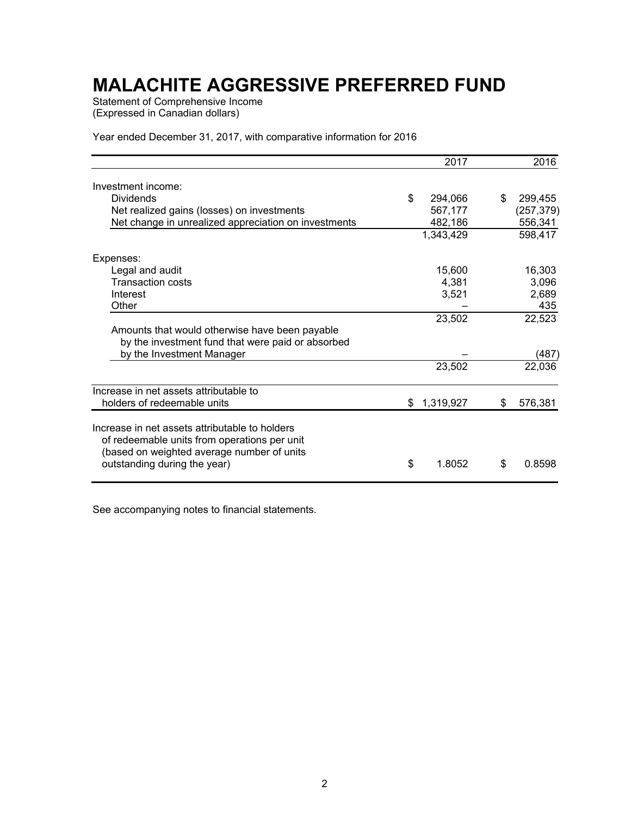Statement of Comprehensive Income (Expressed in Canadian dollars)

Year ended December 31, 2017, with comparative information for 2016

|                                                                                                                                              |    | 2017      |    | 2016       |
|----------------------------------------------------------------------------------------------------------------------------------------------|----|-----------|----|------------|
| Investment income:                                                                                                                           |    |           |    |            |
| <b>Dividends</b>                                                                                                                             | \$ | 294,066   | \$ | 299,455    |
| Net realized gains (losses) on investments                                                                                                   |    | 567,177   |    | (257, 379) |
| Net change in unrealized appreciation on investments                                                                                         |    | 482,186   |    | 556,341    |
|                                                                                                                                              |    | 1,343,429 |    | 598,417    |
| Expenses:                                                                                                                                    |    |           |    |            |
| Legal and audit                                                                                                                              |    | 15,600    |    | 16,303     |
| <b>Transaction costs</b>                                                                                                                     |    | 4,381     |    | 3,096      |
| Interest                                                                                                                                     |    | 3,521     |    | 2,689      |
| Other                                                                                                                                        |    |           |    | 435        |
|                                                                                                                                              |    | 23,502    |    | 22,523     |
| Amounts that would otherwise have been payable                                                                                               |    |           |    |            |
| by the investment fund that were paid or absorbed                                                                                            |    |           |    |            |
| by the Investment Manager                                                                                                                    |    |           |    | (487)      |
|                                                                                                                                              |    | 23,502    |    | 22,036     |
| Increase in net assets attributable to                                                                                                       |    |           |    |            |
| holders of redeemable units                                                                                                                  | S. | 1,319,927 | S  | 576,381    |
| Increase in net assets attributable to holders<br>of redeemable units from operations per unit<br>(based on weighted average number of units |    |           |    |            |
| outstanding during the year)                                                                                                                 | \$ | 1.8052    | \$ | 0.8598     |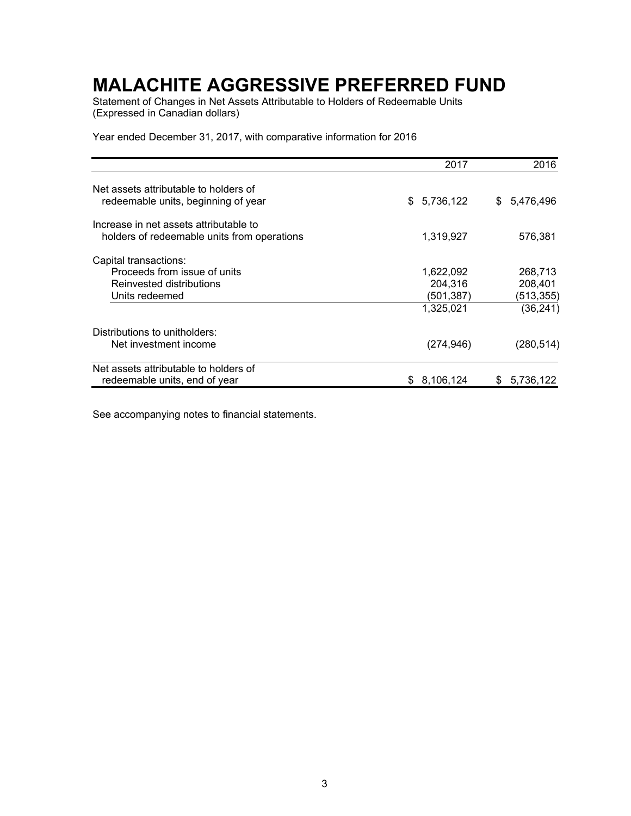Statement of Changes in Net Assets Attributable to Holders of Redeemable Units (Expressed in Canadian dollars)

Year ended December 31, 2017, with comparative information for 2016

|                                                                                       | 2017             | 2016            |
|---------------------------------------------------------------------------------------|------------------|-----------------|
| Net assets attributable to holders of<br>redeemable units, beginning of year          | 5,736,122<br>\$. | 5,476,496<br>\$ |
| Increase in net assets attributable to<br>holders of redeemable units from operations | 1,319,927        | 576,381         |
| Capital transactions:                                                                 |                  |                 |
| Proceeds from issue of units                                                          | 1,622,092        | 268,713         |
| Reinvested distributions                                                              | 204,316          | 208,401         |
| Units redeemed                                                                        | (501,387)        | (513,355)       |
|                                                                                       | 1,325,021        | (36, 241)       |
| Distributions to unitholders:                                                         |                  |                 |
| Net investment income                                                                 | (274, 946)       | (280, 514)      |
| Net assets attributable to holders of                                                 |                  |                 |
| redeemable units, end of year                                                         | 8,106,124<br>S.  | 5,736,122<br>S  |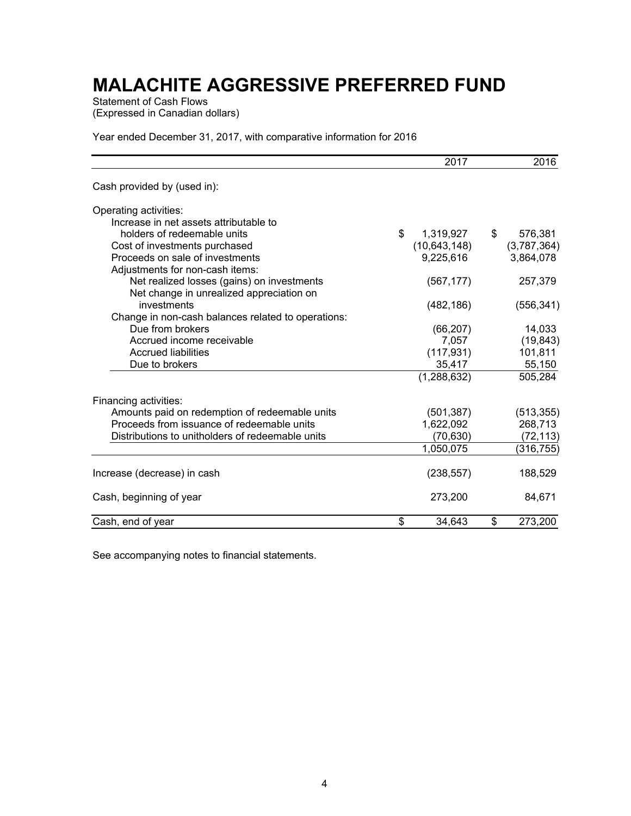Statement of Cash Flows (Expressed in Canadian dollars)

Year ended December 31, 2017, with comparative information for 2016

|                                                    | 2017            | 2016          |
|----------------------------------------------------|-----------------|---------------|
| Cash provided by (used in):                        |                 |               |
| Operating activities:                              |                 |               |
| Increase in net assets attributable to             |                 |               |
| holders of redeemable units                        | \$<br>1,319,927 | \$<br>576,381 |
| Cost of investments purchased                      | (10, 643, 148)  | (3,787,364)   |
| Proceeds on sale of investments                    | 9,225,616       | 3,864,078     |
| Adjustments for non-cash items:                    |                 |               |
| Net realized losses (gains) on investments         | (567, 177)      | 257,379       |
| Net change in unrealized appreciation on           |                 |               |
| investments                                        | (482, 186)      | (556, 341)    |
| Change in non-cash balances related to operations: |                 |               |
| Due from brokers                                   | (66, 207)       | 14,033        |
| Accrued income receivable                          | 7,057           | (19, 843)     |
| <b>Accrued liabilities</b>                         | (117, 931)      | 101,811       |
| Due to brokers                                     | 35,417          | 55,150        |
|                                                    | (1, 288, 632)   | 505,284       |
| Financing activities:                              |                 |               |
| Amounts paid on redemption of redeemable units     | (501, 387)      | (513, 355)    |
| Proceeds from issuance of redeemable units         | 1,622,092       | 268,713       |
| Distributions to unitholders of redeemable units   | (70, 630)       | (72, 113)     |
|                                                    | 1,050,075       | (316, 755)    |
| Increase (decrease) in cash                        | (238, 557)      | 188,529       |
| Cash, beginning of year                            | 273,200         | 84,671        |
| Cash, end of year                                  | \$<br>34,643    | \$<br>273,200 |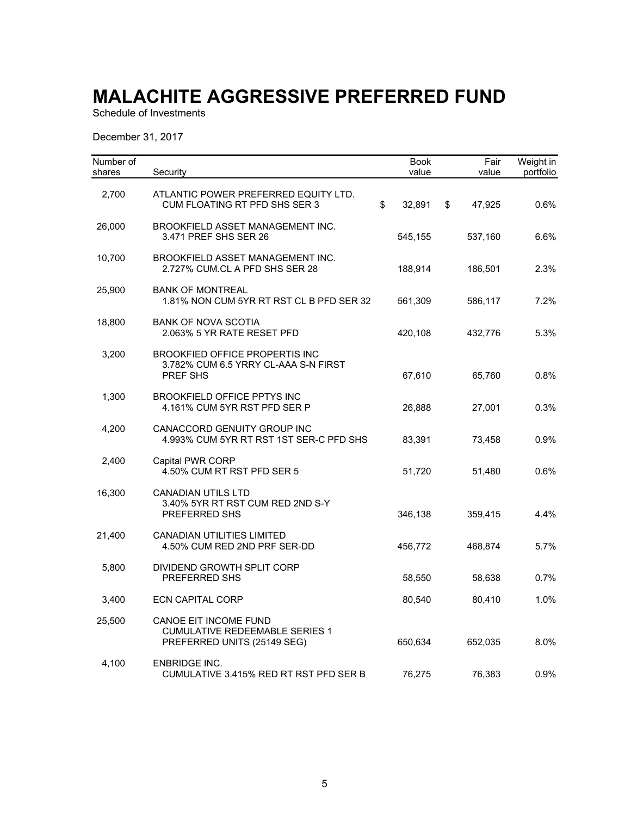Schedule of Investments

December 31, 2017

| Number of<br>shares | Security                                                                                      | <b>Book</b><br>value | Fair<br>value | Weight in<br>portfolio |
|---------------------|-----------------------------------------------------------------------------------------------|----------------------|---------------|------------------------|
| 2,700               | ATLANTIC POWER PREFERRED EQUITY LTD.<br>CUM FLOATING RT PFD SHS SER 3                         | \$<br>32,891         | \$<br>47,925  | 0.6%                   |
| 26,000              | BROOKFIELD ASSET MANAGEMENT INC.<br>3.471 PREF SHS SER 26                                     | 545,155              | 537,160       | 6.6%                   |
| 10,700              | BROOKFIELD ASSET MANAGEMENT INC.<br>2.727% CUM.CL A PFD SHS SER 28                            | 188,914              | 186,501       | 2.3%                   |
| 25,900              | <b>BANK OF MONTREAL</b><br>1.81% NON CUM 5YR RT RST CL B PFD SER 32                           | 561,309              | 586,117       | 7.2%                   |
| 18,800              | <b>BANK OF NOVA SCOTIA</b><br>2.063% 5 YR RATE RESET PFD                                      | 420,108              | 432,776       | 5.3%                   |
| 3,200               | <b>BROOKFIED OFFICE PROPERTIS INC</b><br>3.782% CUM 6.5 YRRY CL-AAA S-N FIRST<br>PREF SHS     | 67,610               | 65,760        | 0.8%                   |
| 1,300               | <b>BROOKFIELD OFFICE PPTYS INC</b><br>4.161% CUM 5YR RST PFD SER P                            | 26,888               | 27,001        | 0.3%                   |
| 4,200               | CANACCORD GENUITY GROUP INC<br>4.993% CUM 5YR RT RST 1ST SER-C PFD SHS                        | 83,391               | 73,458        | 0.9%                   |
| 2,400               | Capital PWR CORP<br>4.50% CUM RT RST PFD SER 5                                                | 51,720               | 51,480        | 0.6%                   |
| 16,300              | <b>CANADIAN UTILS LTD</b><br>3.40% 5YR RT RST CUM RED 2ND S-Y<br>PREFERRED SHS                | 346,138              | 359,415       | 4.4%                   |
| 21,400              | <b>CANADIAN UTILITIES LIMITED</b><br>4.50% CUM RED 2ND PRF SER-DD                             | 456,772              | 468,874       | 5.7%                   |
| 5,800               | DIVIDEND GROWTH SPLIT CORP<br>PREFERRED SHS                                                   | 58,550               | 58,638        | 0.7%                   |
| 3,400               | <b>ECN CAPITAL CORP</b>                                                                       | 80,540               | 80,410        | 1.0%                   |
| 25,500              | CANOE EIT INCOME FUND<br><b>CUMULATIVE REDEEMABLE SERIES 1</b><br>PREFERRED UNITS (25149 SEG) | 650,634              | 652,035       | 8.0%                   |
| 4,100               | <b>ENBRIDGE INC.</b><br>CUMULATIVE 3.415% RED RT RST PFD SER B                                | 76,275               | 76,383        | 0.9%                   |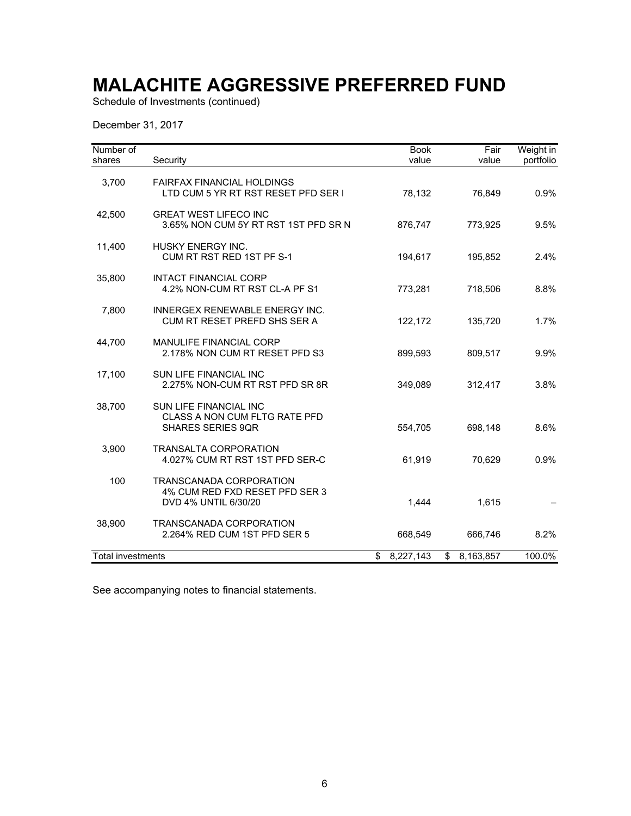Schedule of Investments (continued)

December 31, 2017

| Number of         |                                                                                     | <b>Book</b>     | Fair            | Weight in |
|-------------------|-------------------------------------------------------------------------------------|-----------------|-----------------|-----------|
| shares            | Security                                                                            | value           | value           | portfolio |
| 3,700             | <b>FAIRFAX FINANCIAL HOLDINGS</b><br>LTD CUM 5 YR RT RST RESET PFD SER I            | 78,132          | 76,849          | 0.9%      |
| 42,500            | <b>GREAT WEST LIFECO INC</b><br>3.65% NON CUM 5Y RT RST 1ST PFD SR N                | 876,747         | 773,925         | 9.5%      |
| 11,400            | <b>HUSKY ENERGY INC.</b><br>CUM RT RST RED 1ST PF S-1                               | 194,617         | 195,852         | 2.4%      |
| 35,800            | <b>INTACT FINANCIAL CORP</b><br>4.2% NON-CUM RT RST CL-A PF S1                      | 773,281         | 718,506         | 8.8%      |
| 7,800             | INNERGEX RENEWABLE ENERGY INC.<br>CUM RT RESET PREFD SHS SER A                      | 122,172         | 135,720         | 1.7%      |
| 44,700            | <b>MANULIFE FINANCIAL CORP</b><br>2.178% NON CUM RT RESET PFD S3                    | 899,593         | 809,517         | 9.9%      |
| 17,100            | SUN LIFE FINANCIAL INC<br>2.275% NON-CUM RT RST PFD SR 8R                           | 349,089         | 312,417         | 3.8%      |
| 38,700            | SUN LIFE FINANCIAL INC<br>CLASS A NON CUM FLTG RATE PFD<br><b>SHARES SERIES 9QR</b> | 554,705         | 698,148         | 8.6%      |
| 3,900             | <b>TRANSALTA CORPORATION</b><br>4.027% CUM RT RST 1ST PFD SER-C                     | 61,919          | 70,629          | 0.9%      |
| 100               | TRANSCANADA CORPORATION<br>4% CUM RED FXD RESET PFD SER 3<br>DVD 4% UNTIL 6/30/20   | 1,444           | 1,615           |           |
| 38,900            | TRANSCANADA CORPORATION<br>2.264% RED CUM 1ST PFD SER 5                             | 668,549         | 666,746         | 8.2%      |
| Total investments |                                                                                     | 8,227,143<br>\$ | \$<br>8,163,857 | 100.0%    |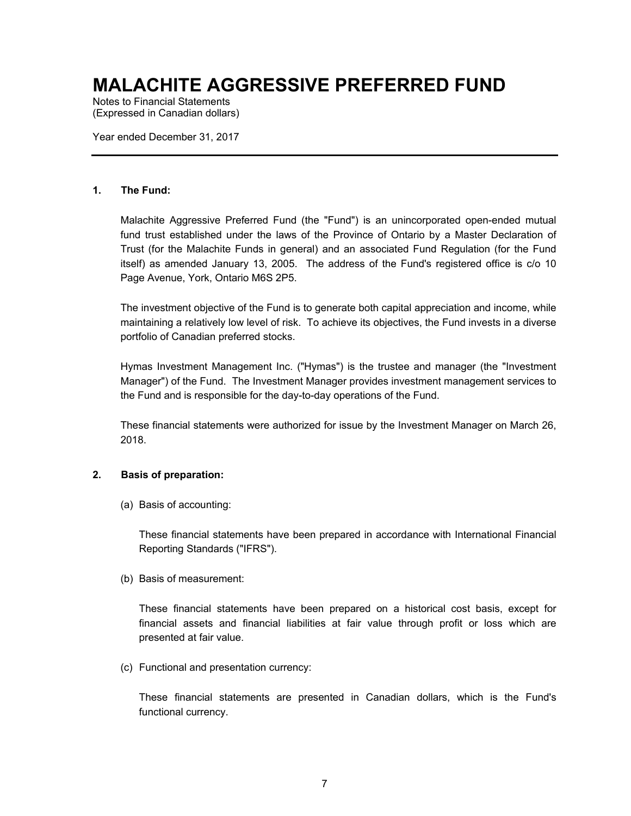Notes to Financial Statements (Expressed in Canadian dollars)

Year ended December 31, 2017

#### **1. The Fund:**

Malachite Aggressive Preferred Fund (the "Fund") is an unincorporated open-ended mutual fund trust established under the laws of the Province of Ontario by a Master Declaration of Trust (for the Malachite Funds in general) and an associated Fund Regulation (for the Fund itself) as amended January 13, 2005. The address of the Fund's registered office is c/o 10 Page Avenue, York, Ontario M6S 2P5.

The investment objective of the Fund is to generate both capital appreciation and income, while maintaining a relatively low level of risk. To achieve its objectives, the Fund invests in a diverse portfolio of Canadian preferred stocks.

Hymas Investment Management Inc. ("Hymas") is the trustee and manager (the "Investment Manager") of the Fund. The Investment Manager provides investment management services to the Fund and is responsible for the day-to-day operations of the Fund.

These financial statements were authorized for issue by the Investment Manager on March 26, 2018.

### **2. Basis of preparation:**

(a) Basis of accounting:

These financial statements have been prepared in accordance with International Financial Reporting Standards ("IFRS").

(b) Basis of measurement:

These financial statements have been prepared on a historical cost basis, except for financial assets and financial liabilities at fair value through profit or loss which are presented at fair value.

(c) Functional and presentation currency:

These financial statements are presented in Canadian dollars, which is the Fund's functional currency.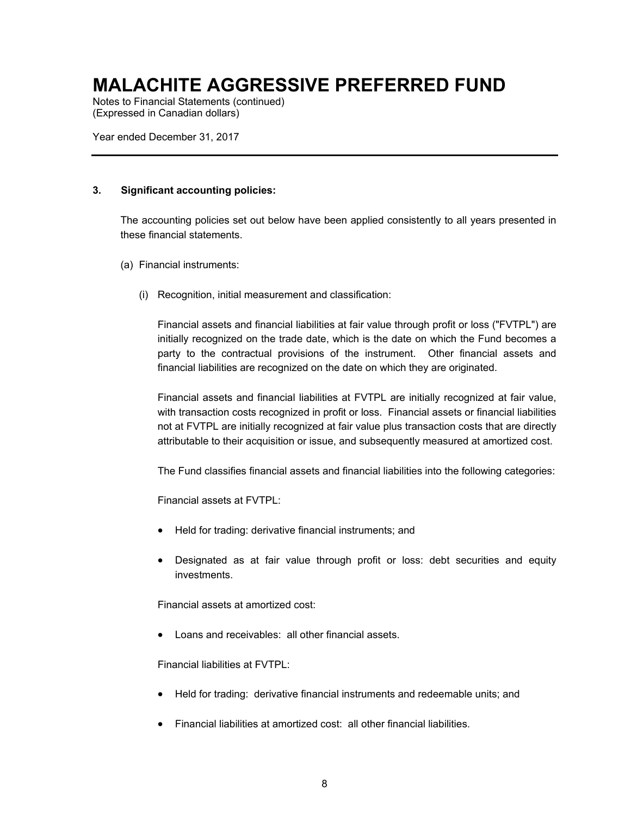Notes to Financial Statements (continued) (Expressed in Canadian dollars)

Year ended December 31, 2017

### **3. Significant accounting policies:**

The accounting policies set out below have been applied consistently to all years presented in these financial statements.

- (a) Financial instruments:
	- (i) Recognition, initial measurement and classification:

Financial assets and financial liabilities at fair value through profit or loss ("FVTPL") are initially recognized on the trade date, which is the date on which the Fund becomes a party to the contractual provisions of the instrument. Other financial assets and financial liabilities are recognized on the date on which they are originated.

Financial assets and financial liabilities at FVTPL are initially recognized at fair value, with transaction costs recognized in profit or loss. Financial assets or financial liabilities not at FVTPL are initially recognized at fair value plus transaction costs that are directly attributable to their acquisition or issue, and subsequently measured at amortized cost.

The Fund classifies financial assets and financial liabilities into the following categories:

Financial assets at FVTPL:

- Held for trading: derivative financial instruments; and
- Designated as at fair value through profit or loss: debt securities and equity investments.

Financial assets at amortized cost:

Loans and receivables: all other financial assets.

Financial liabilities at FVTPL:

- Held for trading: derivative financial instruments and redeemable units; and
- Financial liabilities at amortized cost: all other financial liabilities.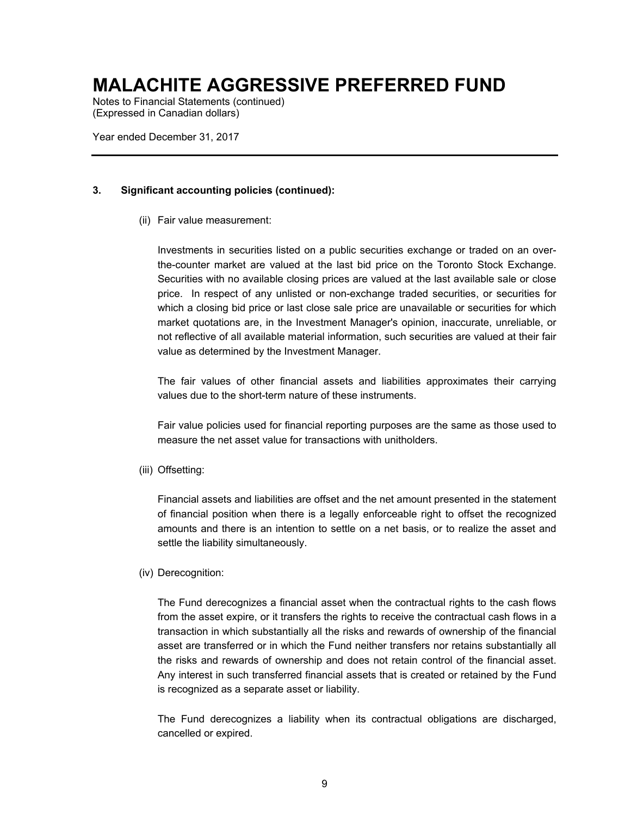Notes to Financial Statements (continued) (Expressed in Canadian dollars)

Year ended December 31, 2017

### **3. Significant accounting policies (continued):**

(ii) Fair value measurement:

Investments in securities listed on a public securities exchange or traded on an overthe-counter market are valued at the last bid price on the Toronto Stock Exchange. Securities with no available closing prices are valued at the last available sale or close price. In respect of any unlisted or non-exchange traded securities, or securities for which a closing bid price or last close sale price are unavailable or securities for which market quotations are, in the Investment Manager's opinion, inaccurate, unreliable, or not reflective of all available material information, such securities are valued at their fair value as determined by the Investment Manager.

The fair values of other financial assets and liabilities approximates their carrying values due to the short-term nature of these instruments.

Fair value policies used for financial reporting purposes are the same as those used to measure the net asset value for transactions with unitholders.

(iii) Offsetting:

Financial assets and liabilities are offset and the net amount presented in the statement of financial position when there is a legally enforceable right to offset the recognized amounts and there is an intention to settle on a net basis, or to realize the asset and settle the liability simultaneously.

### (iv) Derecognition:

The Fund derecognizes a financial asset when the contractual rights to the cash flows from the asset expire, or it transfers the rights to receive the contractual cash flows in a transaction in which substantially all the risks and rewards of ownership of the financial asset are transferred or in which the Fund neither transfers nor retains substantially all the risks and rewards of ownership and does not retain control of the financial asset. Any interest in such transferred financial assets that is created or retained by the Fund is recognized as a separate asset or liability.

The Fund derecognizes a liability when its contractual obligations are discharged, cancelled or expired.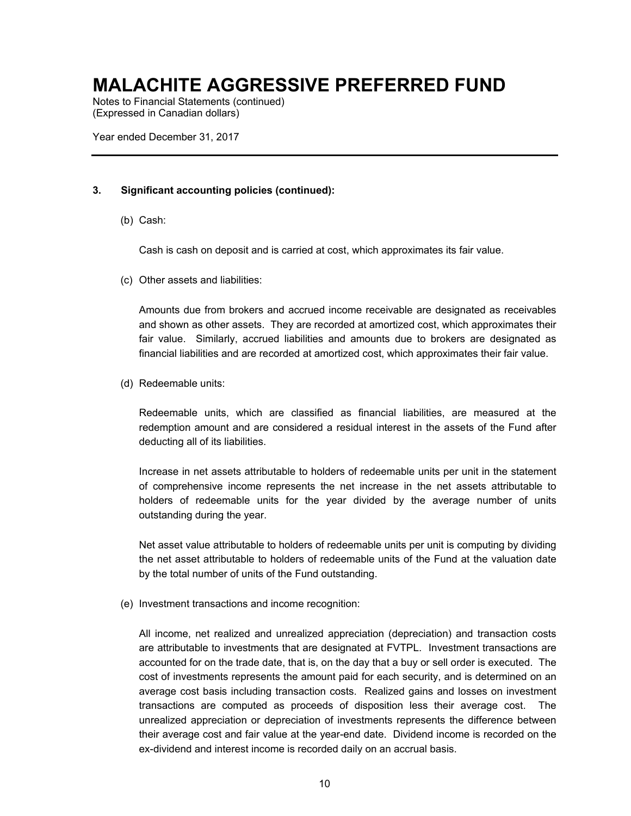Notes to Financial Statements (continued) (Expressed in Canadian dollars)

Year ended December 31, 2017

### **3. Significant accounting policies (continued):**

(b) Cash:

Cash is cash on deposit and is carried at cost, which approximates its fair value.

(c) Other assets and liabilities:

Amounts due from brokers and accrued income receivable are designated as receivables and shown as other assets. They are recorded at amortized cost, which approximates their fair value. Similarly, accrued liabilities and amounts due to brokers are designated as financial liabilities and are recorded at amortized cost, which approximates their fair value.

(d) Redeemable units:

Redeemable units, which are classified as financial liabilities, are measured at the redemption amount and are considered a residual interest in the assets of the Fund after deducting all of its liabilities.

Increase in net assets attributable to holders of redeemable units per unit in the statement of comprehensive income represents the net increase in the net assets attributable to holders of redeemable units for the year divided by the average number of units outstanding during the year.

Net asset value attributable to holders of redeemable units per unit is computing by dividing the net asset attributable to holders of redeemable units of the Fund at the valuation date by the total number of units of the Fund outstanding.

(e) Investment transactions and income recognition:

All income, net realized and unrealized appreciation (depreciation) and transaction costs are attributable to investments that are designated at FVTPL. Investment transactions are accounted for on the trade date, that is, on the day that a buy or sell order is executed. The cost of investments represents the amount paid for each security, and is determined on an average cost basis including transaction costs. Realized gains and losses on investment transactions are computed as proceeds of disposition less their average cost. The unrealized appreciation or depreciation of investments represents the difference between their average cost and fair value at the year-end date. Dividend income is recorded on the ex-dividend and interest income is recorded daily on an accrual basis.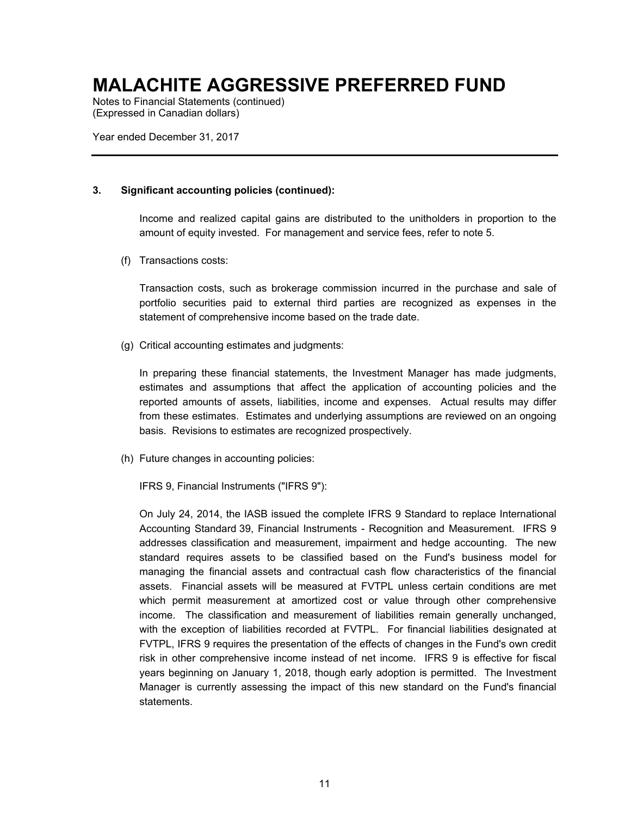Notes to Financial Statements (continued) (Expressed in Canadian dollars)

Year ended December 31, 2017

### **3. Significant accounting policies (continued):**

Income and realized capital gains are distributed to the unitholders in proportion to the amount of equity invested. For management and service fees, refer to note 5.

(f) Transactions costs:

Transaction costs, such as brokerage commission incurred in the purchase and sale of portfolio securities paid to external third parties are recognized as expenses in the statement of comprehensive income based on the trade date.

(g) Critical accounting estimates and judgments:

In preparing these financial statements, the Investment Manager has made judgments, estimates and assumptions that affect the application of accounting policies and the reported amounts of assets, liabilities, income and expenses. Actual results may differ from these estimates. Estimates and underlying assumptions are reviewed on an ongoing basis. Revisions to estimates are recognized prospectively.

(h) Future changes in accounting policies:

IFRS 9, Financial Instruments ("IFRS 9"):

On July 24, 2014, the IASB issued the complete IFRS 9 Standard to replace International Accounting Standard 39, Financial Instruments - Recognition and Measurement. IFRS 9 addresses classification and measurement, impairment and hedge accounting. The new standard requires assets to be classified based on the Fund's business model for managing the financial assets and contractual cash flow characteristics of the financial assets. Financial assets will be measured at FVTPL unless certain conditions are met which permit measurement at amortized cost or value through other comprehensive income. The classification and measurement of liabilities remain generally unchanged, with the exception of liabilities recorded at FVTPL. For financial liabilities designated at FVTPL, IFRS 9 requires the presentation of the effects of changes in the Fund's own credit risk in other comprehensive income instead of net income. IFRS 9 is effective for fiscal years beginning on January 1, 2018, though early adoption is permitted. The Investment Manager is currently assessing the impact of this new standard on the Fund's financial statements.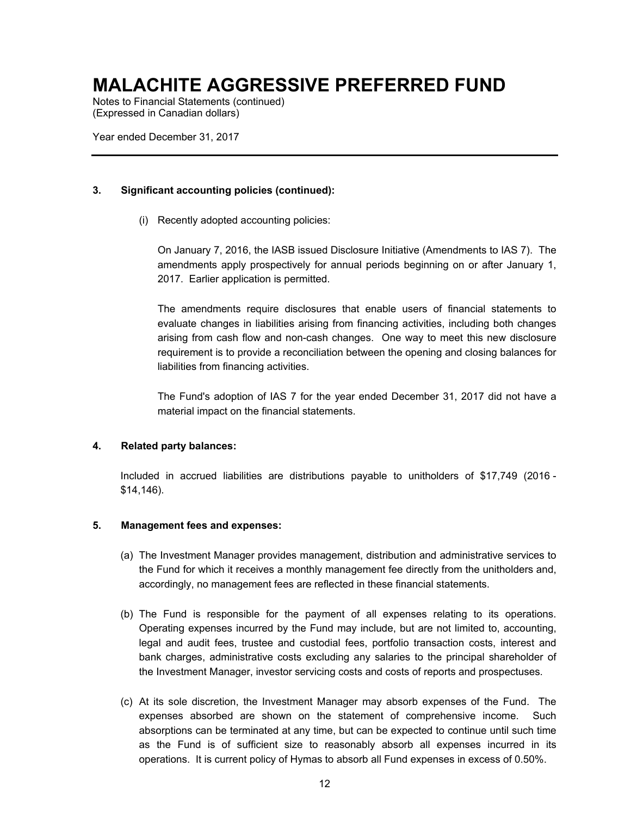Notes to Financial Statements (continued) (Expressed in Canadian dollars)

Year ended December 31, 2017

### **3. Significant accounting policies (continued):**

(i) Recently adopted accounting policies:

On January 7, 2016, the IASB issued Disclosure Initiative (Amendments to IAS 7). The amendments apply prospectively for annual periods beginning on or after January 1, 2017. Earlier application is permitted.

The amendments require disclosures that enable users of financial statements to evaluate changes in liabilities arising from financing activities, including both changes arising from cash flow and non-cash changes. One way to meet this new disclosure requirement is to provide a reconciliation between the opening and closing balances for liabilities from financing activities.

The Fund's adoption of IAS 7 for the year ended December 31, 2017 did not have a material impact on the financial statements.

### **4. Related party balances:**

Included in accrued liabilities are distributions payable to unitholders of \$17,749 (2016 - \$14,146).

### **5. Management fees and expenses:**

- (a) The Investment Manager provides management, distribution and administrative services to the Fund for which it receives a monthly management fee directly from the unitholders and, accordingly, no management fees are reflected in these financial statements.
- (b) The Fund is responsible for the payment of all expenses relating to its operations. Operating expenses incurred by the Fund may include, but are not limited to, accounting, legal and audit fees, trustee and custodial fees, portfolio transaction costs, interest and bank charges, administrative costs excluding any salaries to the principal shareholder of the Investment Manager, investor servicing costs and costs of reports and prospectuses.
- (c) At its sole discretion, the Investment Manager may absorb expenses of the Fund. The expenses absorbed are shown on the statement of comprehensive income. Such absorptions can be terminated at any time, but can be expected to continue until such time as the Fund is of sufficient size to reasonably absorb all expenses incurred in its operations. It is current policy of Hymas to absorb all Fund expenses in excess of 0.50%.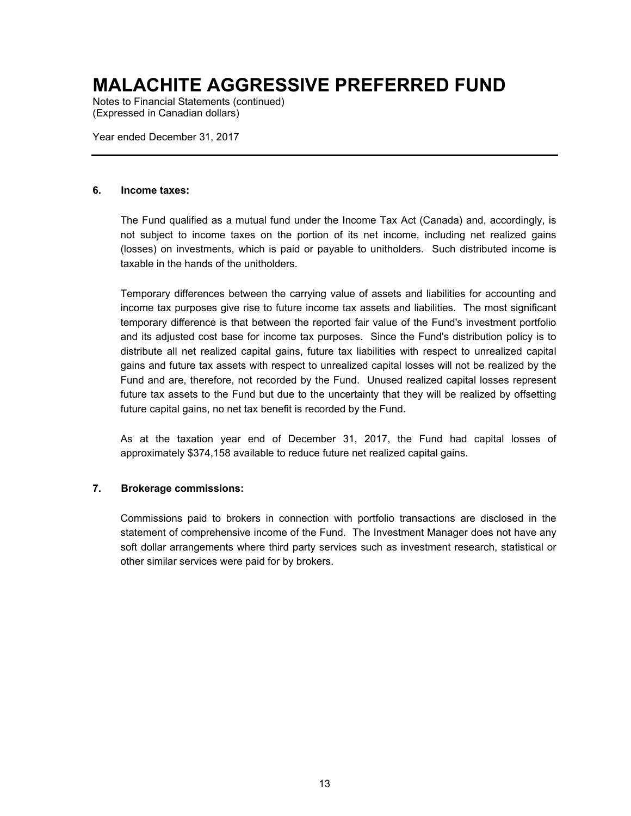Notes to Financial Statements (continued) (Expressed in Canadian dollars)

Year ended December 31, 2017

#### **6. Income taxes:**

The Fund qualified as a mutual fund under the Income Tax Act (Canada) and, accordingly, is not subject to income taxes on the portion of its net income, including net realized gains (losses) on investments, which is paid or payable to unitholders. Such distributed income is taxable in the hands of the unitholders.

Temporary differences between the carrying value of assets and liabilities for accounting and income tax purposes give rise to future income tax assets and liabilities. The most significant temporary difference is that between the reported fair value of the Fund's investment portfolio and its adjusted cost base for income tax purposes. Since the Fund's distribution policy is to distribute all net realized capital gains, future tax liabilities with respect to unrealized capital gains and future tax assets with respect to unrealized capital losses will not be realized by the Fund and are, therefore, not recorded by the Fund. Unused realized capital losses represent future tax assets to the Fund but due to the uncertainty that they will be realized by offsetting future capital gains, no net tax benefit is recorded by the Fund.

As at the taxation year end of December 31, 2017, the Fund had capital losses of approximately \$374,158 available to reduce future net realized capital gains.

### **7. Brokerage commissions:**

Commissions paid to brokers in connection with portfolio transactions are disclosed in the statement of comprehensive income of the Fund. The Investment Manager does not have any soft dollar arrangements where third party services such as investment research, statistical or other similar services were paid for by brokers.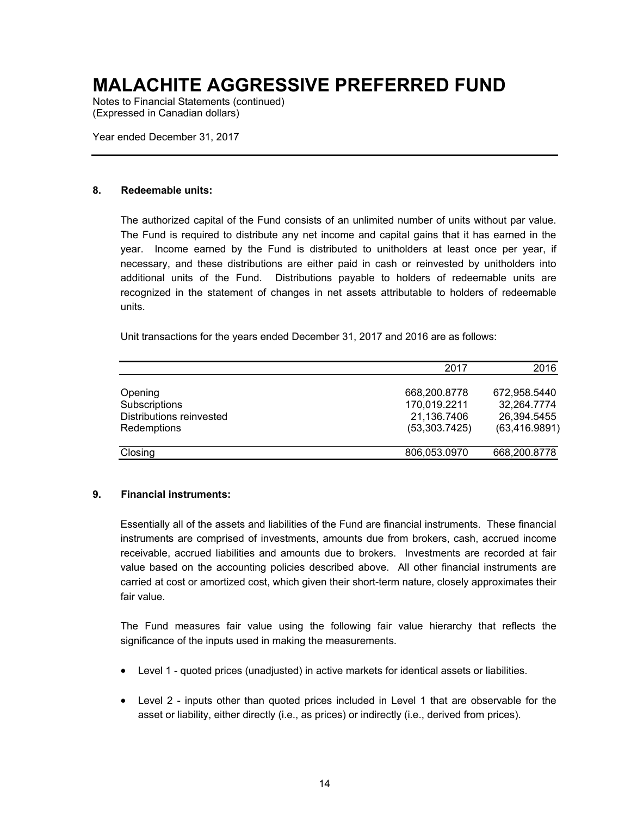Notes to Financial Statements (continued) (Expressed in Canadian dollars)

Year ended December 31, 2017

#### **8. Redeemable units:**

The authorized capital of the Fund consists of an unlimited number of units without par value. The Fund is required to distribute any net income and capital gains that it has earned in the year. Income earned by the Fund is distributed to unitholders at least once per year, if necessary, and these distributions are either paid in cash or reinvested by unitholders into additional units of the Fund. Distributions payable to holders of redeemable units are recognized in the statement of changes in net assets attributable to holders of redeemable units.

Unit transactions for the years ended December 31, 2017 and 2016 are as follows:

|                          | 2017          | 2016           |
|--------------------------|---------------|----------------|
|                          |               |                |
| Opening                  | 668,200.8778  | 672,958.5440   |
| Subscriptions            | 170,019.2211  | 32,264.7774    |
| Distributions reinvested | 21,136.7406   | 26,394.5455    |
| Redemptions              | (53,303.7425) | (63, 416.9891) |
| Closing                  | 806,053.0970  | 668,200.8778   |

#### **9. Financial instruments:**

Essentially all of the assets and liabilities of the Fund are financial instruments. These financial instruments are comprised of investments, amounts due from brokers, cash, accrued income receivable, accrued liabilities and amounts due to brokers. Investments are recorded at fair value based on the accounting policies described above. All other financial instruments are carried at cost or amortized cost, which given their short-term nature, closely approximates their fair value.

The Fund measures fair value using the following fair value hierarchy that reflects the significance of the inputs used in making the measurements.

- Level 1 quoted prices (unadjusted) in active markets for identical assets or liabilities.
- Level 2 inputs other than quoted prices included in Level 1 that are observable for the asset or liability, either directly (i.e., as prices) or indirectly (i.e., derived from prices).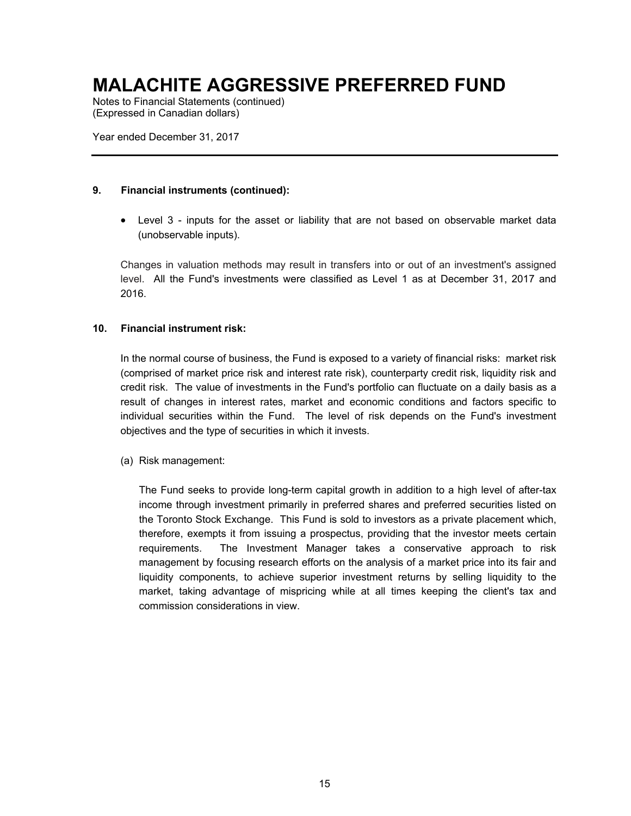Notes to Financial Statements (continued) (Expressed in Canadian dollars)

Year ended December 31, 2017

#### **9. Financial instruments (continued):**

 Level 3 - inputs for the asset or liability that are not based on observable market data (unobservable inputs).

Changes in valuation methods may result in transfers into or out of an investment's assigned level. All the Fund's investments were classified as Level 1 as at December 31, 2017 and 2016.

#### **10. Financial instrument risk:**

In the normal course of business, the Fund is exposed to a variety of financial risks: market risk (comprised of market price risk and interest rate risk), counterparty credit risk, liquidity risk and credit risk. The value of investments in the Fund's portfolio can fluctuate on a daily basis as a result of changes in interest rates, market and economic conditions and factors specific to individual securities within the Fund. The level of risk depends on the Fund's investment objectives and the type of securities in which it invests.

(a) Risk management:

The Fund seeks to provide long-term capital growth in addition to a high level of after-tax income through investment primarily in preferred shares and preferred securities listed on the Toronto Stock Exchange. This Fund is sold to investors as a private placement which, therefore, exempts it from issuing a prospectus, providing that the investor meets certain requirements. The Investment Manager takes a conservative approach to risk management by focusing research efforts on the analysis of a market price into its fair and liquidity components, to achieve superior investment returns by selling liquidity to the market, taking advantage of mispricing while at all times keeping the client's tax and commission considerations in view.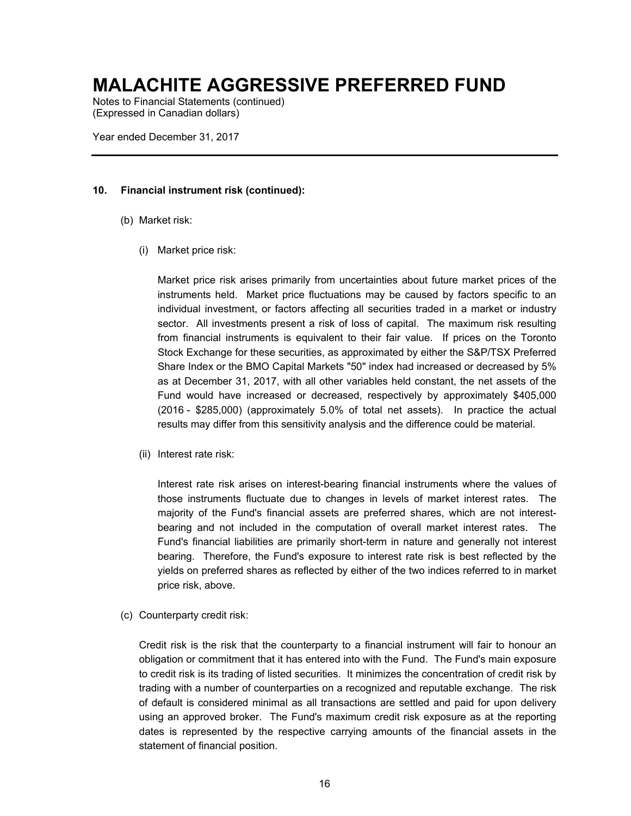Notes to Financial Statements (continued) (Expressed in Canadian dollars)

Year ended December 31, 2017

### **10. Financial instrument risk (continued):**

- (b) Market risk:
	- (i) Market price risk:

Market price risk arises primarily from uncertainties about future market prices of the instruments held. Market price fluctuations may be caused by factors specific to an individual investment, or factors affecting all securities traded in a market or industry sector. All investments present a risk of loss of capital. The maximum risk resulting from financial instruments is equivalent to their fair value. If prices on the Toronto Stock Exchange for these securities, as approximated by either the S&P/TSX Preferred Share Index or the BMO Capital Markets "50" index had increased or decreased by 5% as at December 31, 2017, with all other variables held constant, the net assets of the Fund would have increased or decreased, respectively by approximately \$405,000 (2016 - \$285,000) (approximately 5.0% of total net assets). In practice the actual results may differ from this sensitivity analysis and the difference could be material.

(ii) Interest rate risk:

Interest rate risk arises on interest-bearing financial instruments where the values of those instruments fluctuate due to changes in levels of market interest rates. The majority of the Fund's financial assets are preferred shares, which are not interestbearing and not included in the computation of overall market interest rates. The Fund's financial liabilities are primarily short-term in nature and generally not interest bearing. Therefore, the Fund's exposure to interest rate risk is best reflected by the yields on preferred shares as reflected by either of the two indices referred to in market price risk, above.

(c) Counterparty credit risk:

Credit risk is the risk that the counterparty to a financial instrument will fair to honour an obligation or commitment that it has entered into with the Fund. The Fund's main exposure to credit risk is its trading of listed securities. It minimizes the concentration of credit risk by trading with a number of counterparties on a recognized and reputable exchange. The risk of default is considered minimal as all transactions are settled and paid for upon delivery using an approved broker. The Fund's maximum credit risk exposure as at the reporting dates is represented by the respective carrying amounts of the financial assets in the statement of financial position.